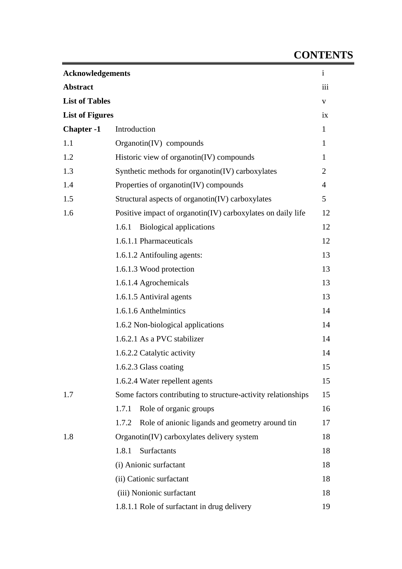## **CONTENTS**

| <b>Acknowledgements</b> |                                                               | $\mathbf{i}$   |
|-------------------------|---------------------------------------------------------------|----------------|
| <b>Abstract</b>         |                                                               | iii            |
| <b>List of Tables</b>   |                                                               | V              |
| <b>List of Figures</b>  |                                                               | ix             |
| <b>Chapter -1</b>       | Introduction                                                  | $\mathbf{1}$   |
| 1.1                     | Organotin(IV) compounds                                       | $\mathbf{1}$   |
| 1.2                     | Historic view of organotin(IV) compounds                      | $\mathbf{1}$   |
| 1.3                     | Synthetic methods for organotin(IV) carboxylates              | $\overline{2}$ |
| 1.4                     | Properties of organotin(IV) compounds                         | 4              |
| 1.5                     | Structural aspects of organotin(IV) carboxylates              | 5              |
| 1.6                     | Positive impact of organotin(IV) carboxylates on daily life   | 12             |
|                         | <b>Biological applications</b><br>1.6.1                       | 12             |
|                         | 1.6.1.1 Pharmaceuticals                                       | 12             |
|                         | 1.6.1.2 Antifouling agents:                                   | 13             |
|                         | 1.6.1.3 Wood protection                                       | 13             |
|                         | 1.6.1.4 Agrochemicals                                         | 13             |
|                         | 1.6.1.5 Antiviral agents                                      | 13             |
|                         | 1.6.1.6 Anthelmintics                                         | 14             |
|                         | 1.6.2 Non-biological applications                             | 14             |
|                         | 1.6.2.1 As a PVC stabilizer                                   | 14             |
|                         | 1.6.2.2 Catalytic activity                                    | 14             |
|                         | 1.6.2.3 Glass coating                                         | 15             |
|                         | 1.6.2.4 Water repellent agents                                | 15             |
| 1.7                     | Some factors contributing to structure-activity relationships | 15             |
|                         | Role of organic groups<br>1.7.1                               | 16             |
|                         | Role of anionic ligands and geometry around tin<br>1.7.2      | 17             |
| 1.8                     | Organotin(IV) carboxylates delivery system                    | 18             |
|                         | Surfactants<br>1.8.1                                          | 18             |
|                         | (i) Anionic surfactant                                        | 18             |
|                         | (ii) Cationic surfactant                                      | 18             |
|                         | (iii) Nonionic surfactant                                     | 18             |
|                         | 1.8.1.1 Role of surfactant in drug delivery                   | 19             |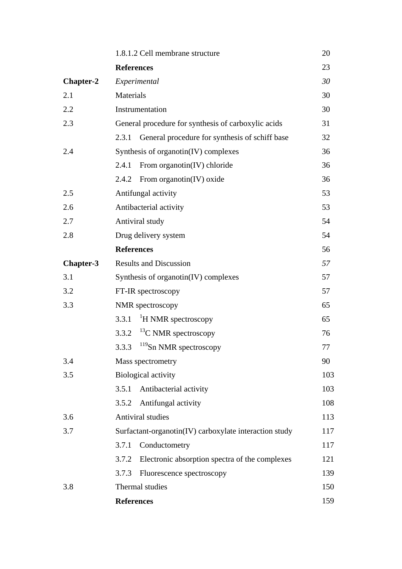|                  | 1.8.1.2 Cell membrane structure                         | 20  |
|------------------|---------------------------------------------------------|-----|
|                  | <b>References</b>                                       | 23  |
| <b>Chapter-2</b> | Experimental                                            | 30  |
| 2.1              | Materials                                               | 30  |
| 2.2              | Instrumentation                                         | 30  |
| 2.3              | General procedure for synthesis of carboxylic acids     | 31  |
|                  | General procedure for synthesis of schiff base<br>2.3.1 | 32  |
| 2.4              | Synthesis of organotin(IV) complexes                    | 36  |
|                  | From organotin(IV) chloride<br>2.4.1                    | 36  |
|                  | From organotin $(IV)$ oxide<br>2.4.2                    | 36  |
| 2.5              | Antifungal activity                                     | 53  |
| 2.6              | Antibacterial activity                                  | 53  |
| 2.7              | Antiviral study                                         | 54  |
| 2.8              | Drug delivery system                                    | 54  |
|                  | <b>References</b>                                       | 56  |
| <b>Chapter-3</b> | <b>Results and Discussion</b>                           | 57  |
| 3.1              | Synthesis of organotin(IV) complexes                    | 57  |
| 3.2              | FT-IR spectroscopy                                      | 57  |
| 3.3              | NMR spectroscopy                                        | 65  |
|                  | <sup>1</sup> H NMR spectroscopy<br>3.3.1                | 65  |
|                  | $13$ C NMR spectroscopy<br>3.3.2                        | 76  |
|                  | $119$ Sn NMR spectroscopy<br>3.3.3                      | 77  |
| 3.4              | Mass spectrometry                                       | 90  |
| 3.5              | <b>Biological activity</b>                              | 103 |
|                  | Antibacterial activity<br>3.5.1                         | 103 |
|                  | Antifungal activity<br>3.5.2                            | 108 |
| 3.6              | <b>Antiviral studies</b>                                | 113 |
| 3.7              | Surfactant-organotin(IV) carboxylate interaction study  | 117 |
|                  | Conductometry<br>3.7.1                                  | 117 |
|                  | Electronic absorption spectra of the complexes<br>3.7.2 | 121 |
|                  | 3.7.3<br>Fluorescence spectroscopy                      | 139 |
| 3.8              | Thermal studies                                         | 150 |
|                  | <b>References</b>                                       | 159 |